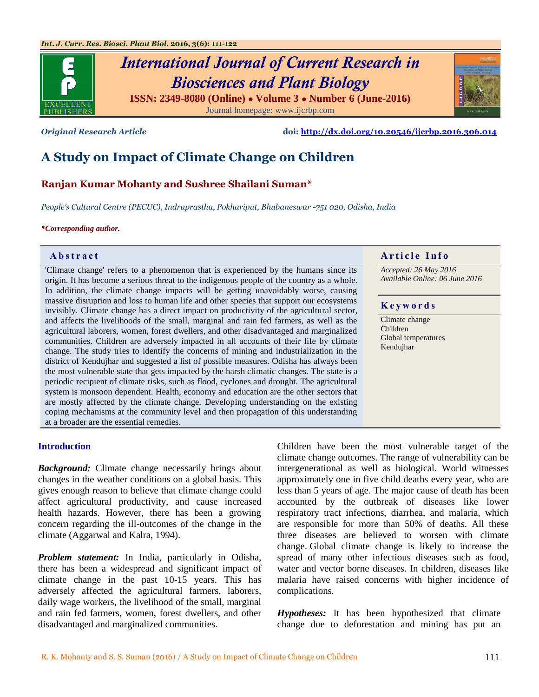

# *International Journal of Current Research in Biosciences and Plant Biology* **ISSN: 2349-8080 (Online) ● Volume 3 ● Number 6 (June-2016)**

Journal homepage: [www.ijcrbp.com](http://www.ijcrbp.com/)

*Original Research Article* **doi:<http://dx.doi.org/10.20546/ijcrbp.2016.306.014>**

# **A Study on Impact of Climate Change on Children**

# **Ranjan Kumar Mohanty and Sushree Shailani Suman\***

*People's Cultural Centre (PECUC), Indraprastha, Pokhariput, Bhubaneswar -751 020, Odisha, India*

*\*Corresponding author.*

'Climate change' refers to a phenomenon that is experienced by the humans since its origin. It has become a serious threat to the indigenous people of the country as a whole. In addition, the climate change impacts will be getting unavoidably worse, causing massive disruption and loss to human life and other species that support our ecosystems invisibly. Climate change has a direct impact on productivity of the agricultural sector, and affects the livelihoods of the small, marginal and rain fed farmers, as well as the agricultural laborers, women, forest dwellers, and other disadvantaged and marginalized communities. Children are adversely impacted in all accounts of their life by climate change. The study tries to identify the concerns of mining and industrialization in the district of Kendujhar and suggested a list of possible measures. Odisha has always been the most vulnerable state that gets impacted by the harsh climatic changes. The state is a periodic recipient of climate risks, such as flood, cyclones and drought. The agricultural system is monsoon dependent. Health, economy and education are the other sectors that are mostly affected by the climate change. Developing understanding on the existing coping mechanisms at the community level and then propagation of this understanding at a broader are the essential remedies.

#### **Introduction**

*Background:* Climate change necessarily brings about changes in the weather conditions on a global basis. This gives enough reason to believe that climate change could affect agricultural productivity, and cause increased health hazards. However, there has been a growing concern regarding the ill-outcomes of the change in the climate (Aggarwal and Kalra, 1994).

*Problem statement:* In India, particularly in Odisha, there has been a widespread and significant impact of climate change in the past 10-15 years. This has adversely affected the agricultural farmers, laborers, daily wage workers, the livelihood of the small, marginal and rain fed farmers, women, forest dwellers, and other disadvantaged and marginalized communities.

Children have been the most vulnerable target of the climate change outcomes. The range of vulnerability can be intergenerational as well as biological. World witnesses approximately one in five child deaths every year, who are less than 5 years of age. The major cause of death has been accounted by the outbreak of diseases like lower respiratory tract infections, diarrhea, and malaria, which are responsible for more than 50% of deaths. All these three diseases are believed to worsen with climate change. Global climate change is likely to increase the spread of many other infectious diseases such as food, water and vector borne diseases. In children, diseases like malaria have raised concerns with higher incidence of complications.

*Hypotheses:* It has been hypothesized that climate change due to deforestation and mining has put an



*Accepted: 26 May 2016 Available Online: 06 June 2016*

#### **K e y w o r d s**

Climate change Children Global temperatures Kendujhar

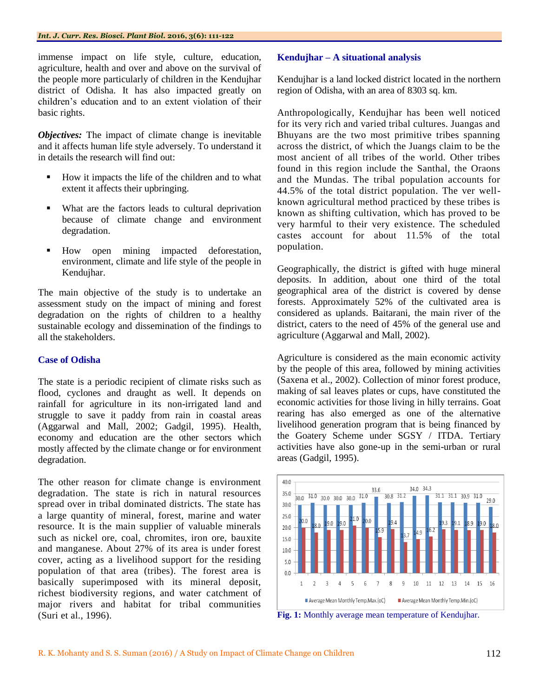immense impact on life style, culture, education, agriculture, health and over and above on the survival of the people more particularly of children in the Kendujhar district of Odisha. It has also impacted greatly on children"s education and to an extent violation of their basic rights.

*Objectives:* The impact of climate change is inevitable and it affects human life style adversely. To understand it in details the research will find out:

- How it impacts the life of the children and to what extent it affects their upbringing.
- What are the factors leads to cultural deprivation because of climate change and environment degradation.
- How open mining impacted deforestation, environment, climate and life style of the people in Kendujhar.

The main objective of the study is to undertake an assessment study on the impact of mining and forest degradation on the rights of children to a healthy sustainable ecology and dissemination of the findings to all the stakeholders.

# **Case of Odisha**

The state is a periodic recipient of climate risks such as flood, cyclones and draught as well. It depends on rainfall for agriculture in its non-irrigated land and struggle to save it paddy from rain in coastal areas (Aggarwal and Mall, 2002; Gadgil, 1995). Health, economy and education are the other sectors which mostly affected by the climate change or for environment degradation.

The other reason for climate change is environment degradation. The state is rich in natural resources spread over in tribal dominated districts. The state has a large quantity of mineral, forest, marine and water resource. It is the main supplier of valuable minerals such as nickel ore, coal, chromites, iron ore, bauxite and manganese. About 27% of its area is under forest cover, acting as a livelihood support for the residing population of that area (tribes). The forest area is basically superimposed with its mineral deposit, richest biodiversity regions, and water catchment of major rivers and habitat for tribal communities (Suri et al., 1996).

#### **Kendujhar – A situational analysis**

Kendujhar is a land locked district located in the northern region of Odisha, with an area of 8303 sq. km.

Anthropologically, Kendujhar has been well noticed for its very rich and varied tribal cultures. Juangas and Bhuyans are the two most primitive tribes spanning across the district, of which the Juangs claim to be the most ancient of all tribes of the world. Other tribes found in this region include the Santhal, the Oraons and the Mundas. The tribal population accounts for 44.5% of the total district population. The ver wellknown agricultural method practiced by these tribes is known as shifting cultivation, which has proved to be very harmful to their very existence. The scheduled castes account for about 11.5% of the total population.

Geographically, the district is gifted with huge mineral deposits. In addition, about one third of the total geographical area of the district is covered by dense forests. Approximately 52% of the cultivated area is considered as uplands. Baitarani, the main river of the district, caters to the need of 45% of the general use and agriculture (Aggarwal and Mall, 2002).

Agriculture is considered as the main economic activity by the people of this area, followed by mining activities (Saxena et al., 2002). Collection of minor forest produce, making of sal leaves plates or cups, have constituted the economic activities for those living in hilly terrains. Goat rearing has also emerged as one of the alternative livelihood generation program that is being financed by the Goatery Scheme under SGSY / ITDA. Tertiary activities have also gone-up in the semi-urban or rural areas (Gadgil, 1995).



**Fig. 1:** Monthly average mean temperature of Kendujhar.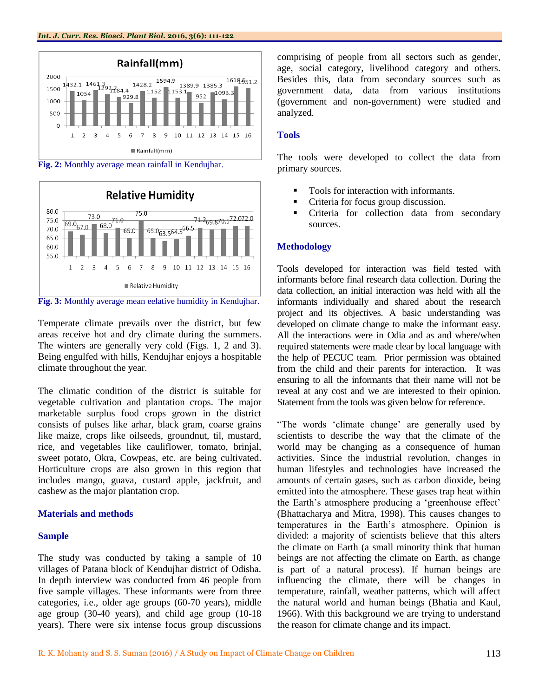



**Fig. 3:** Monthly average mean eelative humidity in Kendujhar.

Temperate climate prevails over the district, but few areas receive hot and dry climate during the summers. The winters are generally very cold (Figs. 1, 2 and 3). Being engulfed with hills, Kendujhar enjoys a hospitable climate throughout the year.

The climatic condition of the district is suitable for vegetable cultivation and plantation crops. The major marketable surplus food crops grown in the district consists of pulses like arhar, black gram, coarse grains like maize, crops like oilseeds, groundnut, til, mustard, rice, and vegetables like cauliflower, tomato, brinjal, sweet potato, Okra, Cowpeas, etc. are being cultivated. Horticulture crops are also grown in this region that includes mango, guava, custard apple, jackfruit, and cashew as the major plantation crop.

# **Materials and methods**

# **Sample**

The study was conducted by taking a sample of 10 villages of Patana block of Kendujhar district of Odisha. In depth interview was conducted from 46 people from five sample villages. These informants were from three categories, i.e., older age groups (60-70 years), middle age group (30-40 years), and child age group (10-18 years). There were six intense focus group discussions

comprising of people from all sectors such as gender, age, social category, livelihood category and others. Besides this, data from secondary sources such as government data, data from various institutions (government and non-government) were studied and analyzed.

# **Tools**

The tools were developed to collect the data from primary sources.

- Tools for interaction with informants.
- Criteria for focus group discussion.
- **•** Criteria for collection data from secondary sources.

# **Methodology**

Tools developed for interaction was field tested with informants before final research data collection. During the data collection, an initial interaction was held with all the informants individually and shared about the research project and its objectives. A basic understanding was developed on climate change to make the informant easy. All the interactions were in Odia and as and where/when required statements were made clear by local language with the help of PECUC team. Prior permission was obtained from the child and their parents for interaction. It was ensuring to all the informants that their name will not be reveal at any cost and we are interested to their opinion. Statement from the tools was given below for reference.

"The words "climate change" are generally used by scientists to describe the way that the climate of the world may be changing as a consequence of human activities. Since the industrial revolution, changes in human lifestyles and technologies have increased the amounts of certain gases, such as carbon dioxide, being emitted into the atmosphere. These gases trap heat within the Earth's atmosphere producing a 'greenhouse effect' (Bhattacharya and Mitra, 1998). This causes changes to temperatures in the Earth"s atmosphere. Opinion is divided: a majority of scientists believe that this alters the climate on Earth (a small minority think that human beings are not affecting the climate on Earth, as change is part of a natural process). If human beings are influencing the climate, there will be changes in temperature, rainfall, weather patterns, which will affect the natural world and human beings (Bhatia and Kaul, 1966). With this background we are trying to understand the reason for climate change and its impact.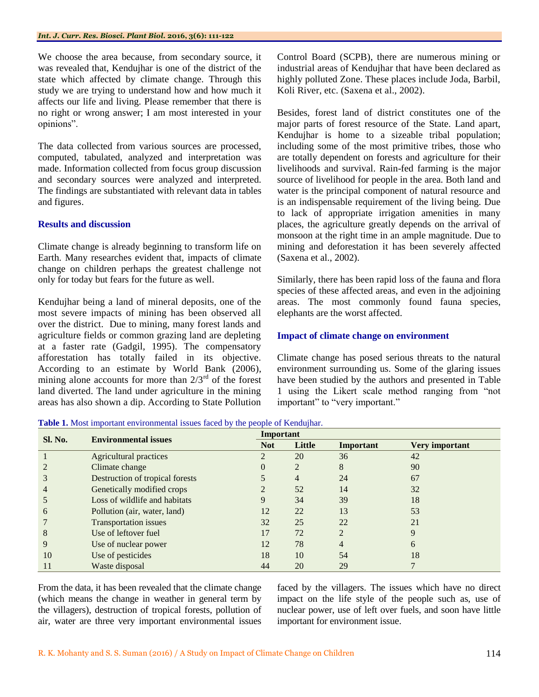We choose the area because, from secondary source, it was revealed that, Kendujhar is one of the district of the state which affected by climate change. Through this study we are trying to understand how and how much it affects our life and living. Please remember that there is no right or wrong answer; I am most interested in your opinions".

The data collected from various sources are processed, computed, tabulated, analyzed and interpretation was made. Information collected from focus group discussion and secondary sources were analyzed and interpreted. The findings are substantiated with relevant data in tables and figures.

# **Results and discussion**

Climate change is already beginning to transform life on Earth. Many researches evident that, impacts of climate change on children perhaps the greatest challenge not only for today but fears for the future as well.

Kendujhar being a land of mineral deposits, one of the most severe impacts of mining has been observed all over the district. Due to mining, many forest lands and agriculture fields or common grazing land are depleting at a faster rate (Gadgil, 1995). The compensatory afforestation has totally failed in its objective. According to an estimate by World Bank (2006), mining alone accounts for more than  $2/3<sup>rd</sup>$  of the forest land diverted. The land under agriculture in the mining areas has also shown a dip. According to State Pollution

Control Board (SCPB), there are numerous mining or industrial areas of Kendujhar that have been declared as highly polluted Zone. These places include Joda, Barbil, Koli River, etc. (Saxena et al., 2002).

Besides, forest land of district constitutes one of the major parts of forest resource of the State. Land apart, Kendujhar is home to a sizeable tribal population; including some of the most primitive tribes, those who are totally dependent on forests and agriculture for their livelihoods and survival. Rain-fed farming is the major source of livelihood for people in the area. Both land and water is the principal component of natural resource and is an indispensable requirement of the living being. Due to lack of appropriate irrigation amenities in many places, the agriculture greatly depends on the arrival of monsoon at the right time in an ample magnitude. Due to mining and deforestation it has been severely affected (Saxena et al., 2002).

Similarly, there has been rapid loss of the fauna and flora species of these affected areas, and even in the adjoining areas. The most commonly found fauna species, elephants are the worst affected.

# **Impact of climate change on environment**

Climate change has posed serious threats to the natural environment surrounding us. Some of the glaring issues have been studied by the authors and presented in Table 1 using the Likert scale method ranging from "not important" to "very important."

|  | Table 1. Most important environmental issues faced by the people of Kendujhar. |  |  |  |  |  |
|--|--------------------------------------------------------------------------------|--|--|--|--|--|
|--|--------------------------------------------------------------------------------|--|--|--|--|--|

| <b>Sl. No.</b> | <b>Environmental issues</b>     | Important      |                |                |                |  |
|----------------|---------------------------------|----------------|----------------|----------------|----------------|--|
|                |                                 | <b>Not</b>     | Little         | Important      | Very important |  |
|                | <b>Agricultural practices</b>   | $\overline{2}$ | 20             | 36             | 42             |  |
|                | Climate change                  | $\theta$       | $\overline{2}$ | 8              | 90             |  |
| 3              | Destruction of tropical forests |                | 4              | 24             | 67             |  |
| 4              | Genetically modified crops      | $\overline{2}$ | 52             | 14             | 32             |  |
|                | Loss of wildlife and habitats   | 9              | 34             | 39             | 18             |  |
| 6              | Pollution (air, water, land)    | 12             | 22             | 13             | 53             |  |
|                | <b>Transportation issues</b>    | 32             | 25             | 22             | 21             |  |
| 8              | Use of leftover fuel            | 17             | 72             | $\mathfrak{D}$ | 9              |  |
| 9              | Use of nuclear power            | 12             | 78             | 4              | 6              |  |
| 10             | Use of pesticides               | 18             | 10             | 54             | 18             |  |
|                | Waste disposal                  | 44             | 20             | 29             |                |  |

From the data, it has been revealed that the climate change (which means the change in weather in general term by the villagers), destruction of tropical forests, pollution of air, water are three very important environmental issues

faced by the villagers. The issues which have no direct impact on the life style of the people such as, use of nuclear power, use of left over fuels, and soon have little important for environment issue.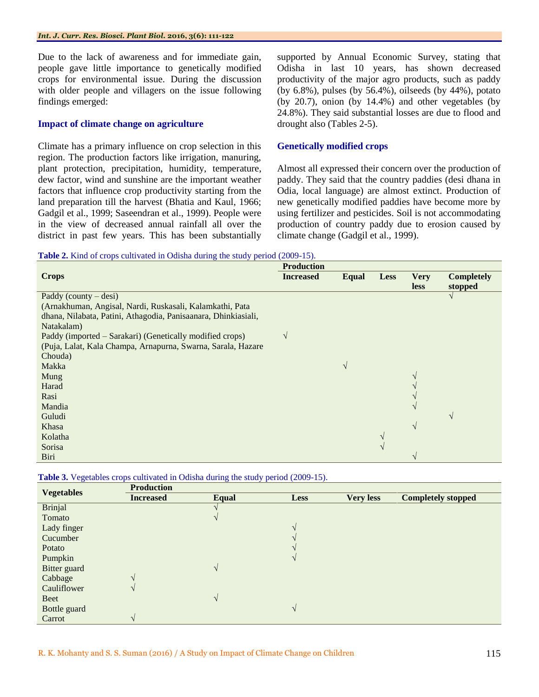Due to the lack of awareness and for immediate gain, people gave little importance to genetically modified crops for environmental issue. During the discussion with older people and villagers on the issue following findings emerged:

#### **Impact of climate change on agriculture**

Climate has a primary influence on crop selection in this region. The production factors like irrigation, manuring, plant protection, precipitation, humidity, temperature, dew factor, wind and sunshine are the important weather factors that influence crop productivity starting from the land preparation till the harvest (Bhatia and Kaul, 1966; Gadgil et al., 1999; Saseendran et al., 1999). People were in the view of decreased annual rainfall all over the district in past few years. This has been substantially

supported by Annual Economic Survey, stating that Odisha in last 10 years, has shown decreased productivity of the major agro products, such as paddy (by 6.8%), pulses (by 56.4%), oilseeds (by 44%), potato (by 20.7), onion (by 14.4%) and other vegetables (by 24.8%). They said substantial losses are due to flood and drought also (Tables 2-5).

#### **Genetically modified crops**

Almost all expressed their concern over the production of paddy. They said that the country paddies (desi dhana in Odia, local language) are almost extinct. Production of new genetically modified paddies have become more by using fertilizer and pesticides. Soil is not accommodating production of country paddy due to erosion caused by climate change (Gadgil et al., 1999).

**Table 2.** Kind of crops cultivated in Odisha during the study period (2009-15).

|                                                                | <b>Production</b> |              |             |                            |                              |  |  |
|----------------------------------------------------------------|-------------------|--------------|-------------|----------------------------|------------------------------|--|--|
| <b>Crops</b>                                                   | <b>Increased</b>  | <b>Equal</b> | <b>Less</b> | <b>Very</b><br><b>less</b> | <b>Completely</b><br>stopped |  |  |
| Paddy (county $-\text{desi}$ )                                 |                   |              |             |                            | $\mathcal{N}$                |  |  |
| (Arnakhuman, Angisal, Nardi, Ruskasali, Kalamkathi, Pata       |                   |              |             |                            |                              |  |  |
| dhana, Nilabata, Patini, Athagodia, Panisaanara, Dhinkiasiali, |                   |              |             |                            |                              |  |  |
| Natakalam)                                                     |                   |              |             |                            |                              |  |  |
| Paddy (imported – Sarakari) (Genetically modified crops)       | V                 |              |             |                            |                              |  |  |
| (Puja, Lalat, Kala Champa, Arnapurna, Swarna, Sarala, Hazare   |                   |              |             |                            |                              |  |  |
| Chouda)                                                        |                   |              |             |                            |                              |  |  |
| Makka                                                          |                   | $\sqrt{ }$   |             |                            |                              |  |  |
| Mung                                                           |                   |              |             | $\mathcal{L}$              |                              |  |  |
| Harad                                                          |                   |              |             |                            |                              |  |  |
| Rasi                                                           |                   |              |             |                            |                              |  |  |
| Mandia                                                         |                   |              |             | $\mathcal{L}$              |                              |  |  |
| Guludi                                                         |                   |              |             |                            | $\sqrt{ }$                   |  |  |
| Khasa                                                          |                   |              |             | $\sqrt{ }$                 |                              |  |  |
| Kolatha                                                        |                   |              |             |                            |                              |  |  |
| Sorisa                                                         |                   |              |             |                            |                              |  |  |
| Biri                                                           |                   |              |             | $\mathbf{\hat{}}$          |                              |  |  |

|  | <b>Table 3.</b> Vegetables crops cultivated in Odisha during the study period (2009-15). |  |  |
|--|------------------------------------------------------------------------------------------|--|--|
|  |                                                                                          |  |  |

|                   | <b>Production</b> |       |              |                  |                           |
|-------------------|-------------------|-------|--------------|------------------|---------------------------|
| <b>Vegetables</b> | <b>Increased</b>  | Equal | <b>Less</b>  | <b>Very less</b> | <b>Completely stopped</b> |
| <b>Brinjal</b>    |                   |       |              |                  |                           |
| Tomato            |                   | V     |              |                  |                           |
| Lady finger       |                   |       |              |                  |                           |
| Cucumber          |                   |       |              |                  |                           |
| Potato            |                   |       |              |                  |                           |
| Pumpkin           |                   |       |              |                  |                           |
| Bitter guard      |                   | V     |              |                  |                           |
| Cabbage           | $\mathcal{N}$     |       |              |                  |                           |
| Cauliflower       | $\mathcal{N}$     |       |              |                  |                           |
| Beet              |                   | V     |              |                  |                           |
| Bottle guard      |                   |       | $\mathbf{v}$ |                  |                           |
| Carrot            | $\Delta$          |       |              |                  |                           |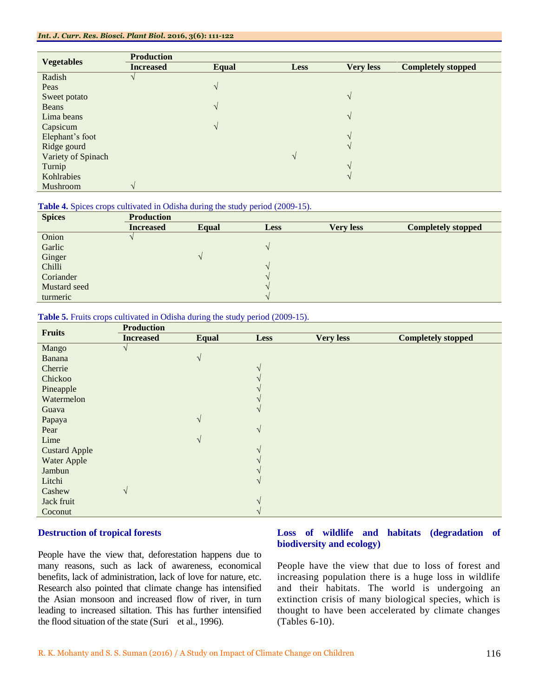|                    | <b>Production</b> |              |               |                  |                           |
|--------------------|-------------------|--------------|---------------|------------------|---------------------------|
| <b>Vegetables</b>  | <b>Increased</b>  | <b>Equal</b> | <b>Less</b>   | <b>Very less</b> | <b>Completely stopped</b> |
| Radish             |                   |              |               |                  |                           |
| Peas               |                   | $\sqrt{ }$   |               |                  |                           |
| Sweet potato       |                   |              |               | $\sqrt{ }$       |                           |
| Beans              |                   | $\sqrt{ }$   |               |                  |                           |
| Lima beans         |                   |              |               | $\sqrt{ }$       |                           |
| Capsicum           |                   | V            |               |                  |                           |
| Elephant's foot    |                   |              |               |                  |                           |
| Ridge gourd        |                   |              |               | V                |                           |
| Variety of Spinach |                   |              | $\mathcal{N}$ |                  |                           |
| Turnip             |                   |              |               | $\sqrt{ }$       |                           |
| Kohlrabies         |                   |              |               |                  |                           |
| Mushroom           | $\Delta$          |              |               |                  |                           |

#### **Table 4.** Spices crops cultivated in Odisha during the study period (2009-15).

| <b>Spices</b> | <b>Production</b> |       |               |                  |                           |
|---------------|-------------------|-------|---------------|------------------|---------------------------|
|               | <b>Increased</b>  | Equal | <b>Less</b>   | <b>Very less</b> | <b>Completely stopped</b> |
| Onion         |                   |       |               |                  |                           |
| Garlic        |                   |       | $\mathcal{N}$ |                  |                           |
| Ginger        |                   |       |               |                  |                           |
| Chilli        |                   |       | $\Delta$      |                  |                           |
| Coriander     |                   |       |               |                  |                           |
| Mustard seed  |                   |       |               |                  |                           |
| turmeric      |                   |       |               |                  |                           |

#### **Table 5.** Fruits crops cultivated in Odisha during the study period (2009-15).

| <b>Fruits</b>        | <b>Production</b> |               |            |                  |                           |
|----------------------|-------------------|---------------|------------|------------------|---------------------------|
|                      | <b>Increased</b>  | <b>Equal</b>  | Less       | <b>Very less</b> | <b>Completely stopped</b> |
| Mango                |                   |               |            |                  |                           |
| Banana               |                   | $\sqrt{ }$    |            |                  |                           |
| Cherrie              |                   |               |            |                  |                           |
| Chickoo              |                   |               |            |                  |                           |
| Pineapple            |                   |               |            |                  |                           |
| Watermelon           |                   |               |            |                  |                           |
| Guava                |                   |               |            |                  |                           |
| Papaya               |                   | $\mathcal{N}$ |            |                  |                           |
| Pear                 |                   |               | $\sqrt{ }$ |                  |                           |
| Lime                 |                   | $\mathcal{N}$ |            |                  |                           |
| <b>Custard Apple</b> |                   |               |            |                  |                           |
| Water Apple          |                   |               |            |                  |                           |
| Jambun               |                   |               |            |                  |                           |
| Litchi               |                   |               |            |                  |                           |
| Cashew               | V                 |               |            |                  |                           |
| Jack fruit           |                   |               |            |                  |                           |
| Coconut              |                   |               |            |                  |                           |

# **Destruction of tropical forests**

People have the view that, deforestation happens due to many reasons, such as lack of awareness, economical benefits, lack of administration, lack of love for nature, etc. Research also pointed that climate change has intensified the Asian monsoon and increased flow of river, in turn leading to increased siltation. This has further intensified the flood situation of the state (Suri et al., 1996).

# **Loss of wildlife and habitats (degradation of biodiversity and ecology)**

People have the view that due to loss of forest and increasing population there is a huge loss in wildlife and their habitats. The world is undergoing an extinction crisis of many biological species, which is thought to have been accelerated by climate changes (Tables 6-10).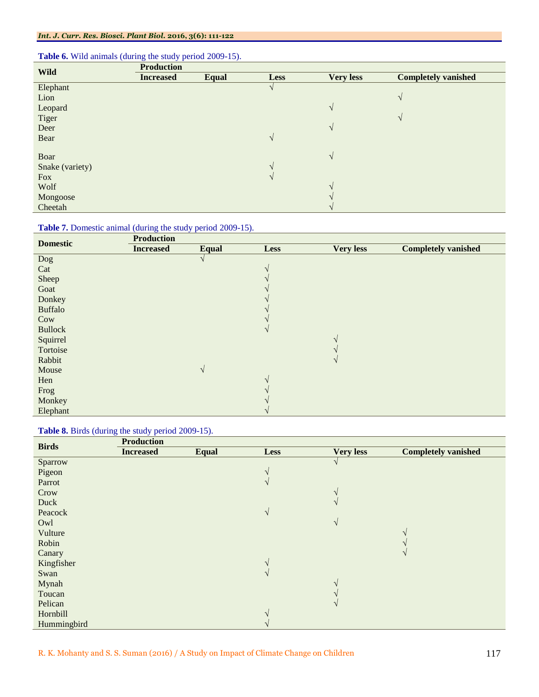# **Table 6.** Wild animals (during the study period 2009-15).

| <b>Wild</b>     | <b>Production</b> |              |               |                  |                            |
|-----------------|-------------------|--------------|---------------|------------------|----------------------------|
|                 | <b>Increased</b>  | <b>Equal</b> | <b>Less</b>   | <b>Very less</b> | <b>Completely vanished</b> |
| Elephant        |                   |              | V             |                  |                            |
| Lion            |                   |              |               |                  | $\sqrt{ }$                 |
| Leopard         |                   |              |               | $\sqrt{ }$       |                            |
| Tiger           |                   |              |               |                  | $\sqrt{ }$                 |
| Deer            |                   |              |               | $\sqrt{ }$       |                            |
| Bear            |                   |              | $\sqrt{ }$    |                  |                            |
|                 |                   |              |               |                  |                            |
| Boar            |                   |              |               | $\sqrt{ }$       |                            |
| Snake (variety) |                   |              | $\mathcal{N}$ |                  |                            |
| <b>Fox</b>      |                   |              | $\mathcal{N}$ |                  |                            |
| Wolf            |                   |              |               | $\mathcal{L}$    |                            |
| Mongoose        |                   |              |               |                  |                            |
| Cheetah         |                   |              |               |                  |                            |

# **Table 7.** Domestic animal (during the study period 2009-15).

| <b>Domestic</b> | <b>Production</b> |            |                   |                  |                            |
|-----------------|-------------------|------------|-------------------|------------------|----------------------------|
|                 | <b>Increased</b>  | Equal      | <b>Less</b>       | <b>Very less</b> | <b>Completely vanished</b> |
| Dog             |                   |            |                   |                  |                            |
| Cat             |                   |            | $\mathbf{\hat{}}$ |                  |                            |
| Sheep           |                   |            |                   |                  |                            |
| Goat            |                   |            |                   |                  |                            |
| Donkey          |                   |            |                   |                  |                            |
| <b>Buffalo</b>  |                   |            |                   |                  |                            |
| Cow             |                   |            |                   |                  |                            |
| <b>Bullock</b>  |                   |            |                   |                  |                            |
| Squirrel        |                   |            |                   |                  |                            |
| Tortoise        |                   |            |                   |                  |                            |
| Rabbit          |                   |            |                   |                  |                            |
| Mouse           |                   | $\sqrt{ }$ |                   |                  |                            |
| Hen             |                   |            |                   |                  |                            |
| Frog            |                   |            |                   |                  |                            |
| Monkey          |                   |            |                   |                  |                            |
| Elephant        |                   |            |                   |                  |                            |

#### **Table 8.** Birds (during the study period 2009-15).

| <b>Birds</b> | <b>Production</b> |              |               |                  |                            |
|--------------|-------------------|--------------|---------------|------------------|----------------------------|
|              | <b>Increased</b>  | <b>Equal</b> | <b>Less</b>   | <b>Very less</b> | <b>Completely vanished</b> |
| Sparrow      |                   |              |               | V                |                            |
| Pigeon       |                   |              | $\mathcal{N}$ |                  |                            |
| Parrot       |                   |              | $\mathcal{N}$ |                  |                            |
| Crow         |                   |              |               |                  |                            |
| Duck         |                   |              |               | $\mathcal{N}$    |                            |
| Peacock      |                   |              | $\sqrt{ }$    |                  |                            |
| Owl          |                   |              |               | $\sqrt{ }$       |                            |
| Vulture      |                   |              |               |                  | $\overline{\mathcal{N}}$   |
| Robin        |                   |              |               |                  |                            |
| Canary       |                   |              |               |                  | $\sqrt{ }$                 |
| Kingfisher   |                   |              | $\Delta$      |                  |                            |
| Swan         |                   |              | $\mathcal{N}$ |                  |                            |
| Mynah        |                   |              |               |                  |                            |
| Toucan       |                   |              |               |                  |                            |
| Pelican      |                   |              |               | $\mathcal{N}$    |                            |
| Hornbill     |                   |              |               |                  |                            |
| Hummingbird  |                   |              |               |                  |                            |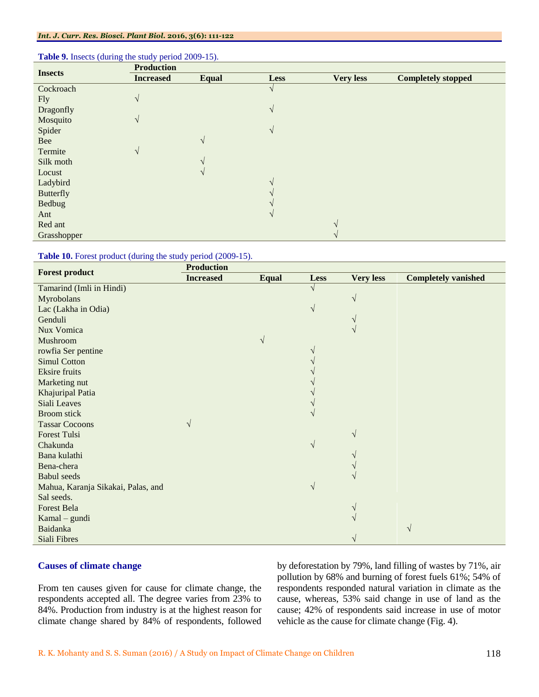| <b>Insects</b>   | <b>Production</b> |              |            |                  |                           |
|------------------|-------------------|--------------|------------|------------------|---------------------------|
|                  | <b>Increased</b>  | <b>Equal</b> | Less       | <b>Very less</b> | <b>Completely stopped</b> |
| Cockroach        |                   |              |            |                  |                           |
| <b>Fly</b>       | $\sqrt{}$         |              |            |                  |                           |
| Dragonfly        |                   |              | $\sqrt{ }$ |                  |                           |
| Mosquito         | V                 |              |            |                  |                           |
| Spider           |                   |              | $\sqrt{ }$ |                  |                           |
| Bee              |                   | $\sqrt{ }$   |            |                  |                           |
| Termite          | V                 |              |            |                  |                           |
| Silk moth        |                   | $\Delta$     |            |                  |                           |
| Locust           |                   |              |            |                  |                           |
| Ladybird         |                   |              |            |                  |                           |
| <b>Butterfly</b> |                   |              |            |                  |                           |
| <b>Bedbug</b>    |                   |              |            |                  |                           |
| Ant              |                   |              |            |                  |                           |
| Red ant          |                   |              |            |                  |                           |
| Grasshopper      |                   |              |            |                  |                           |

#### **Table 9.** Insects (during the study period 2009-15).

#### Table 10. Forest product (during the study period (2009-15).

| <b>Forest product</b>              | <b>Production</b> |              |             |                  |                            |
|------------------------------------|-------------------|--------------|-------------|------------------|----------------------------|
|                                    | <b>Increased</b>  | <b>Equal</b> | <b>Less</b> | <b>Very less</b> | <b>Completely vanished</b> |
| Tamarind (Imli in Hindi)           |                   |              |             |                  |                            |
| Myrobolans                         |                   |              |             | $\sqrt{ }$       |                            |
| Lac (Lakha in Odia)                |                   |              |             |                  |                            |
| Genduli                            |                   |              |             |                  |                            |
| Nux Vomica                         |                   |              |             | $\mathcal{N}$    |                            |
| Mushroom                           |                   | V            |             |                  |                            |
| rowfia Ser pentine                 |                   |              |             |                  |                            |
| <b>Simul Cotton</b>                |                   |              |             |                  |                            |
| <b>Eksire</b> fruits               |                   |              |             |                  |                            |
| Marketing nut                      |                   |              |             |                  |                            |
| Khajuripal Patia                   |                   |              |             |                  |                            |
| Siali Leaves                       |                   |              |             |                  |                            |
| <b>Broom</b> stick                 |                   |              |             |                  |                            |
| <b>Tassar Cocoons</b>              | $\sqrt{ }$        |              |             |                  |                            |
| <b>Forest Tulsi</b>                |                   |              |             | $\sqrt{ }$       |                            |
| Chakunda                           |                   |              | V           |                  |                            |
| Bana kulathi                       |                   |              |             |                  |                            |
| Bena-chera                         |                   |              |             |                  |                            |
| <b>Babul</b> seeds                 |                   |              |             |                  |                            |
| Mahua, Karanja Sikakai, Palas, and |                   |              | $\sqrt{}$   |                  |                            |
| Sal seeds.                         |                   |              |             |                  |                            |
| <b>Forest Bela</b>                 |                   |              |             |                  |                            |
| Kamal – gundi                      |                   |              |             |                  |                            |
| Baidanka                           |                   |              |             |                  | $\sqrt{ }$                 |
| Siali Fibres                       |                   |              |             |                  |                            |

# **Causes of climate change**

From ten causes given for cause for climate change, the respondents accepted all. The degree varies from 23% to 84%. Production from industry is at the highest reason for climate change shared by 84% of respondents, followed by deforestation by 79%, land filling of wastes by 71%, air pollution by 68% and burning of forest fuels 61%; 54% of respondents responded natural variation in climate as the cause, whereas, 53% said change in use of land as the cause; 42% of respondents said increase in use of motor vehicle as the cause for climate change (Fig. 4).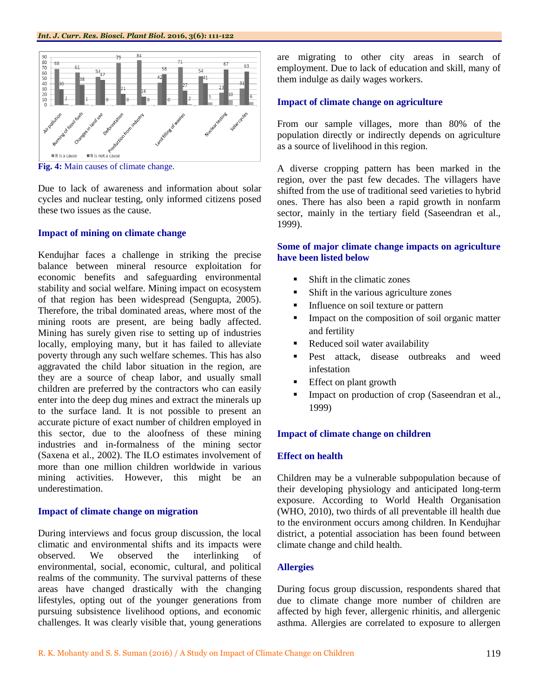

**Fig. 4:** Main causes of climate change.

Due to lack of awareness and information about solar cycles and nuclear testing, only informed citizens posed these two issues as the cause.

#### **Impact of mining on climate change**

Kendujhar faces a challenge in striking the precise balance between mineral resource exploitation for economic benefits and safeguarding environmental stability and social welfare. Mining impact on ecosystem of that region has been widespread (Sengupta, 2005). Therefore, the tribal dominated areas, where most of the mining roots are present, are being badly affected. Mining has surely given rise to setting up of industries locally, employing many, but it has failed to alleviate poverty through any such welfare schemes. This has also aggravated the child labor situation in the region, are they are a source of cheap labor, and usually small children are preferred by the contractors who can easily enter into the deep dug mines and extract the minerals up to the surface land. It is not possible to present an accurate picture of exact number of children employed in this sector, due to the aloofness of these mining industries and in-formalness of the mining sector (Saxena et al., 2002). The ILO estimates involvement of more than one million children worldwide in various mining activities. However, this might be an underestimation.

#### **Impact of climate change on migration**

During interviews and focus group discussion, the local climatic and environmental shifts and its impacts were observed. We observed the interlinking of environmental, social, economic, cultural, and political realms of the community. The survival patterns of these areas have changed drastically with the changing lifestyles, opting out of the younger generations from pursuing subsistence livelihood options, and economic challenges. It was clearly visible that, young generations are migrating to other city areas in search of employment. Due to lack of education and skill, many of them indulge as daily wages workers.

## **Impact of climate change on agriculture**

From our sample villages, more than 80% of the population directly or indirectly depends on agriculture as a source of livelihood in this region.

A diverse cropping pattern has been marked in the region, over the past few decades. The villagers have shifted from the use of traditional seed varieties to hybrid ones. There has also been a rapid growth in nonfarm sector, mainly in the tertiary field (Saseendran et al., 1999).

# **Some of major climate change impacts on agriculture have been listed below**

- Shift in the climatic zones
- Shift in the various agriculture zones
- Influence on soil texture or pattern
- **Impact on the composition of soil organic matter** and fertility
- Reduced soil water availability
- Pest attack, disease outbreaks and weed infestation
- Effect on plant growth
- Impact on production of crop (Saseendran et al., 1999)

#### **Impact of climate change on children**

## **Effect on health**

Children may be a vulnerable subpopulation because of their developing physiology and anticipated long-term exposure. According to World Health Organisation (WHO, 2010), two thirds of all preventable ill health due to the environment occurs among children. In Kendujhar district, a potential association has been found between climate change and child health.

#### **Allergies**

During focus group discussion, respondents shared that due to climate change more number of children are affected by high fever, allergenic rhinitis, and allergenic asthma. Allergies are correlated to exposure to allergen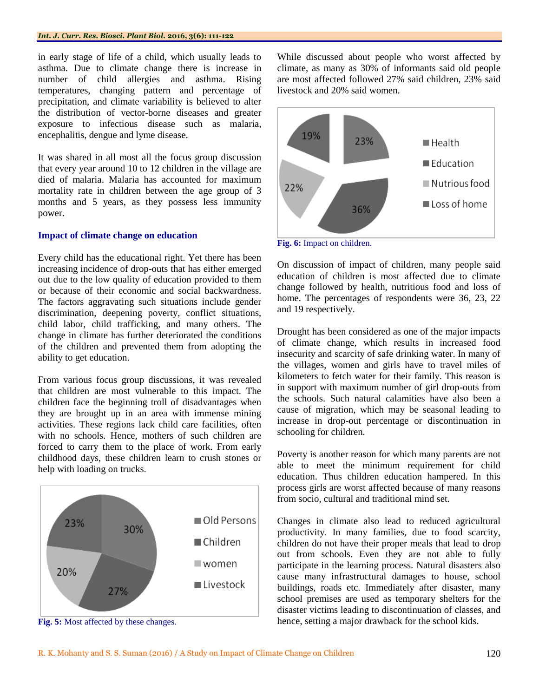in early stage of life of a child, which usually leads to asthma. Due to climate change there is increase in number of child allergies and asthma. Rising temperatures, changing pattern and percentage of precipitation, and climate variability is believed to alter the distribution of vector-borne diseases and greater exposure to infectious disease such as malaria, encephalitis, dengue and lyme disease.

It was shared in all most all the focus group discussion that every year around 10 to 12 children in the village are died of malaria. Malaria has accounted for maximum mortality rate in children between the age group of 3 months and 5 years, as they possess less immunity power.

#### **Impact of climate change on education**

Every child has the educational right. Yet there has been increasing incidence of drop-outs that has either emerged out due to the low quality of education provided to them or because of their economic and social backwardness. The factors aggravating such situations include gender discrimination, deepening poverty, conflict situations, child labor, child trafficking, and many others. The change in climate has further deteriorated the conditions of the children and prevented them from adopting the ability to get education.

From various focus group discussions, it was revealed that children are most vulnerable to this impact. The children face the beginning troll of disadvantages when they are brought up in an area with immense mining activities. These regions lack child care facilities, often with no schools. Hence, mothers of such children are forced to carry them to the place of work. From early childhood days, these children learn to crush stones or help with loading on trucks.



**Fig. 5:** Most affected by these changes.

While discussed about people who worst affected by climate, as many as 30% of informants said old people are most affected followed 27% said children, 23% said livestock and 20% said women.



**Fig. 6:** Impact on children.

On discussion of impact of children, many people said education of children is most affected due to climate change followed by health, nutritious food and loss of home. The percentages of respondents were 36, 23, 22 and 19 respectively.

Drought has been considered as one of the major impacts of climate change, which results in increased food insecurity and scarcity of safe drinking water. In many of the villages, women and girls have to travel miles of kilometers to fetch water for their family. This reason is in support with maximum number of girl drop-outs from the schools. Such natural calamities have also been a cause of migration, which may be seasonal leading to increase in drop-out percentage or discontinuation in schooling for children.

Poverty is another reason for which many parents are not able to meet the minimum requirement for child education. Thus children education hampered. In this process girls are worst affected because of many reasons from socio, cultural and traditional mind set.

Changes in climate also lead to reduced agricultural productivity. In many families, due to food scarcity, children do not have their proper meals that lead to drop out from schools. Even they are not able to fully participate in the learning process. Natural disasters also cause many infrastructural damages to house, school buildings, roads etc. Immediately after disaster, many school premises are used as temporary shelters for the disaster victims leading to discontinuation of classes, and hence, setting a major drawback for the school kids.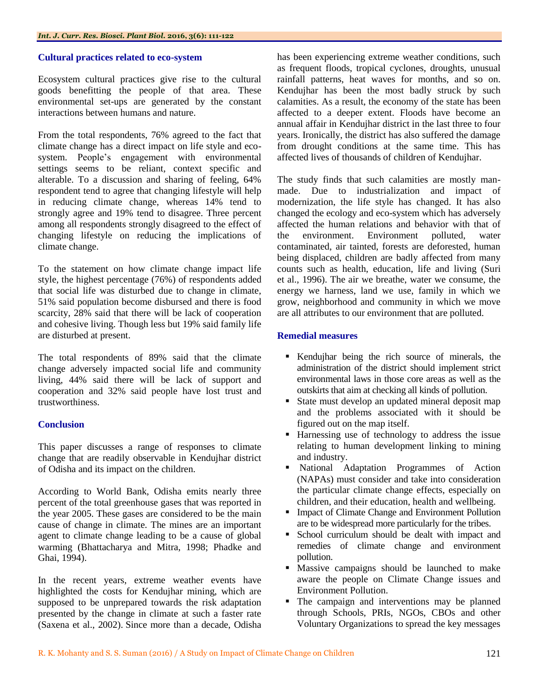#### **Cultural practices related to eco-system**

Ecosystem cultural practices give rise to the cultural goods benefitting the people of that area. These environmental set-ups are generated by the constant interactions between humans and nature.

From the total respondents, 76% agreed to the fact that climate change has a direct impact on life style and ecosystem. People"s engagement with environmental settings seems to be reliant, context specific and alterable. To a discussion and sharing of feeling, 64% respondent tend to agree that changing lifestyle will help in reducing climate change, whereas 14% tend to strongly agree and 19% tend to disagree. Three percent among all respondents strongly disagreed to the effect of changing lifestyle on reducing the implications of climate change.

To the statement on how climate change impact life style, the highest percentage (76%) of respondents added that social life was disturbed due to change in climate, 51% said population become disbursed and there is food scarcity, 28% said that there will be lack of cooperation and cohesive living. Though less but 19% said family life are disturbed at present.

The total respondents of 89% said that the climate change adversely impacted social life and community living, 44% said there will be lack of support and cooperation and 32% said people have lost trust and trustworthiness.

#### **Conclusion**

This paper discusses a range of responses to climate change that are readily observable in Kendujhar district of Odisha and its impact on the children.

According to World Bank, Odisha emits nearly three percent of the total greenhouse gases that was reported in the year 2005. These gases are considered to be the main cause of change in climate. The mines are an important agent to climate change leading to be a cause of global warming (Bhattacharya and Mitra, 1998; Phadke and Ghai, 1994).

In the recent years, extreme weather events have highlighted the costs for Kendujhar mining, which are supposed to be unprepared towards the risk adaptation presented by the change in climate at such a faster rate (Saxena et al., 2002). Since more than a decade, Odisha

has been experiencing extreme weather conditions, such as frequent floods, tropical cyclones, droughts, unusual rainfall patterns, heat waves for months, and so on. Kendujhar has been the most badly struck by such calamities. As a result, the economy of the state has been affected to a deeper extent. Floods have become an annual affair in Kendujhar district in the last three to four years. Ironically, the district has also suffered the damage from drought conditions at the same time. This has affected lives of thousands of children of Kendujhar.

The study finds that such calamities are mostly manmade. Due to industrialization and impact of modernization, the life style has changed. It has also changed the ecology and eco-system which has adversely affected the human relations and behavior with that of the environment. Environment polluted, water contaminated, air tainted, forests are deforested, human being displaced, children are badly affected from many counts such as health, education, life and living (Suri et al., 1996). The air we breathe, water we consume, the energy we harness, land we use, family in which we grow, neighborhood and community in which we move are all attributes to our environment that are polluted.

#### **Remedial measures**

- Kendujhar being the rich source of minerals, the administration of the district should implement strict environmental laws in those core areas as well as the outskirts that aim at checking all kinds of pollution.
- State must develop an updated mineral deposit map and the problems associated with it should be figured out on the map itself.
- **Harnessing use of technology to address the issue** relating to human development linking to mining and industry.
- National Adaptation Programmes of Action (NAPAs) must consider and take into consideration the particular climate change effects, especially on children, and their education, health and wellbeing.
- Impact of Climate Change and Environment Pollution are to be widespread more particularly for the tribes.
- School curriculum should be dealt with impact and remedies of climate change and environment pollution.
- Massive campaigns should be launched to make aware the people on Climate Change issues and Environment Pollution.
- The campaign and interventions may be planned through Schools, PRIs, NGOs, CBOs and other Voluntary Organizations to spread the key messages